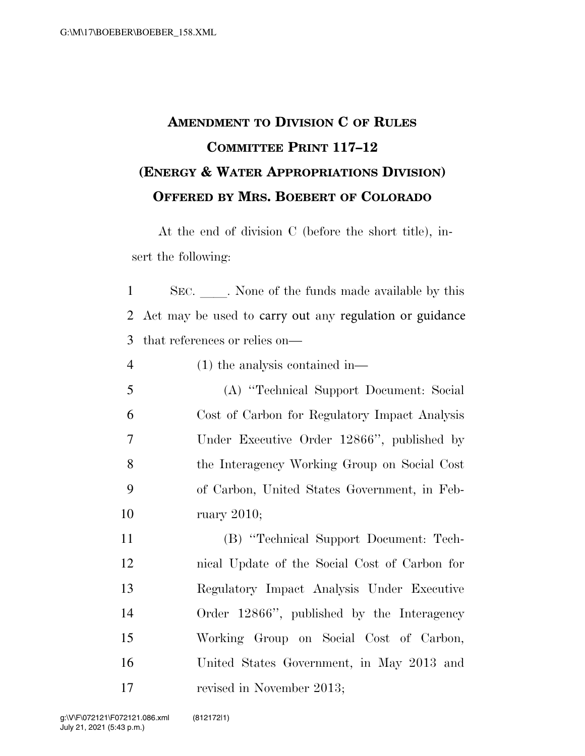## **AMENDMENT TO DIVISION C OF RULES COMMITTEE PRINT 117–12 (ENERGY & WATER APPROPRIATIONS DIVISION) OFFERED BY MRS. BOEBERT OF COLORADO**

At the end of division C (before the short title), insert the following:

1 SEC. None of the funds made available by this 2 Act may be used to carry out any regulation or guidance 3 that references or relies on—

4 (1) the analysis contained in—

 (A) ''Technical Support Document: Social Cost of Carbon for Regulatory Impact Analysis Under Executive Order 12866'', published by the Interagency Working Group on Social Cost of Carbon, United States Government, in Feb-ruary 2010;

 (B) ''Technical Support Document: Tech- nical Update of the Social Cost of Carbon for Regulatory Impact Analysis Under Executive Order 12866'', published by the Interagency Working Group on Social Cost of Carbon, United States Government, in May 2013 and 17 revised in November 2013;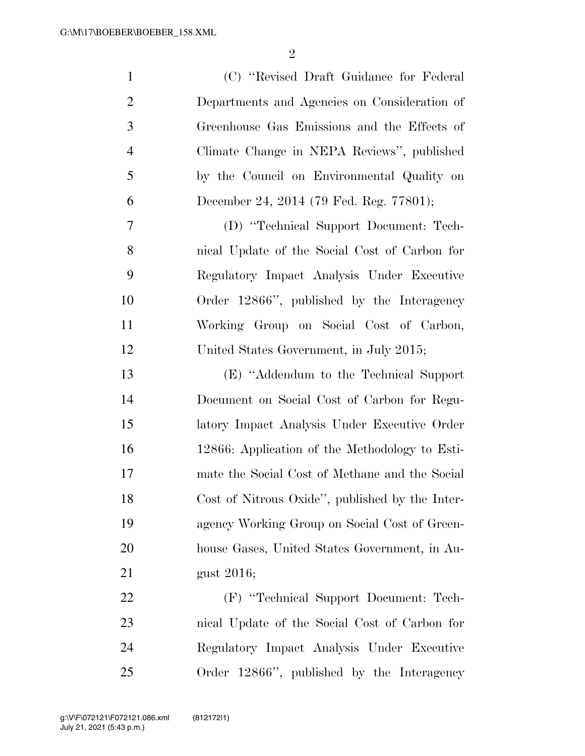| $\mathbf{1}$   | (C) "Revised Draft Guidance for Federal         |
|----------------|-------------------------------------------------|
| $\overline{2}$ | Departments and Agencies on Consideration of    |
| 3              | Greenhouse Gas Emissions and the Effects of     |
| $\overline{4}$ | Climate Change in NEPA Reviews", published      |
| 5              | by the Council on Environmental Quality on      |
| 6              | December 24, 2014 (79 Fed. Reg. 77801);         |
| 7              | (D) "Technical Support Document: Tech-          |
| 8              | nical Update of the Social Cost of Carbon for   |
| 9              | Regulatory Impact Analysis Under Executive      |
| 10             | Order 12866", published by the Interagency      |
| 11             | Working Group on Social Cost of Carbon,         |
| 12             | United States Government, in July 2015;         |
| 13             | (E) "Addendum to the Technical Support"         |
| 14             | Document on Social Cost of Carbon for Regu-     |
| 15             | latory Impact Analysis Under Executive Order    |
| 16             | 12866: Application of the Methodology to Esti-  |
| 17             | mate the Social Cost of Methane and the Social  |
| 18             | Cost of Nitrous Oxide", published by the Inter- |
| 19             | agency Working Group on Social Cost of Green-   |
| 20             | house Gases, United States Government, in Au-   |
| 21             | gust 2016;                                      |
| 22             | (F) "Technical Support Document: Tech-          |
| 23             | nical Update of the Social Cost of Carbon for   |
| 24             | Regulatory Impact Analysis Under Executive      |
| 25             | Order 12866", published by the Interagency      |